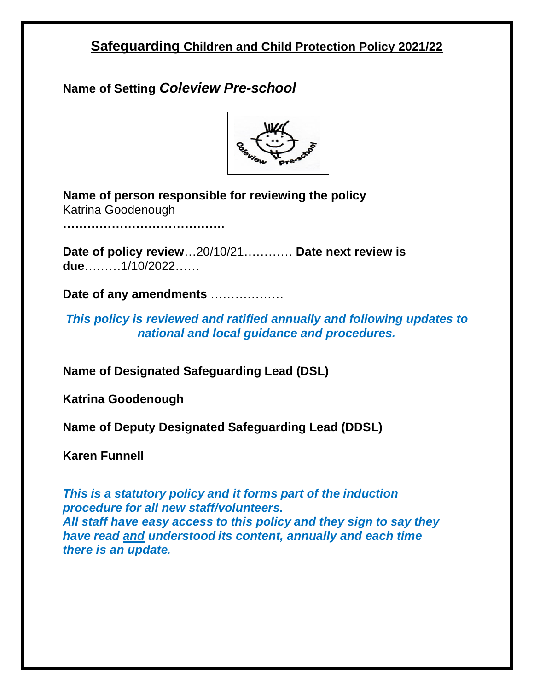# **Safeguarding Children and Child Protection Policy 2021/22**

**Name of Setting** *Coleview Pre-school*



**Name of person responsible for reviewing the policy** Katrina Goodenough

**………………………………….**

**Date of policy review**…20/10/21………… **Date next review is due**………1/10/2022……

**Date of any amendments** ………………

*This policy is reviewed and ratified annually and following updates to national and local guidance and procedures.*

**Name of Designated Safeguarding Lead (DSL)** 

**Katrina Goodenough**

**Name of Deputy Designated Safeguarding Lead (DDSL)**

**Karen Funnell** 

*This is a statutory policy and it forms part of the induction procedure for all new staff/volunteers. All staff have easy access to this policy and they sign to say they have read and understood its content, annually and each time there is an update.*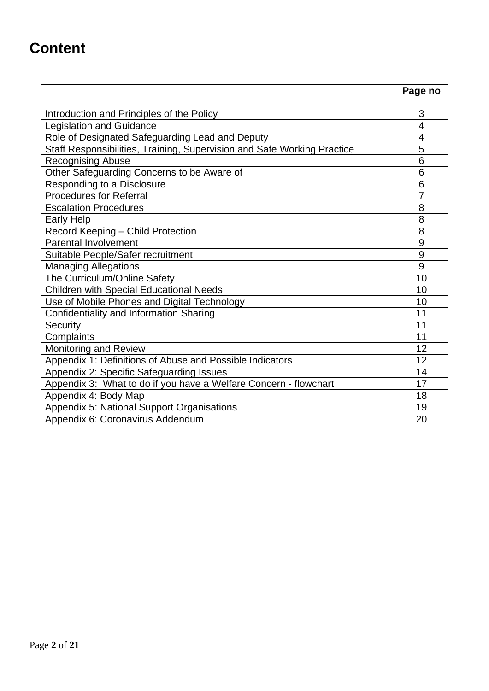# **Content**

|                                                                         | Page no |
|-------------------------------------------------------------------------|---------|
|                                                                         | 3       |
| Introduction and Principles of the Policy                               | 4       |
| <b>Legislation and Guidance</b>                                         | 4       |
| Role of Designated Safeguarding Lead and Deputy                         |         |
| Staff Responsibilities, Training, Supervision and Safe Working Practice | 5<br>6  |
| <b>Recognising Abuse</b>                                                | 6       |
| Other Safeguarding Concerns to be Aware of                              |         |
| Responding to a Disclosure                                              | 6       |
| <b>Procedures for Referral</b>                                          | 7       |
| <b>Escalation Procedures</b>                                            | 8       |
| <b>Early Help</b>                                                       | 8       |
| Record Keeping - Child Protection                                       | 8       |
| <b>Parental Involvement</b>                                             | 9       |
| Suitable People/Safer recruitment                                       | 9       |
| <b>Managing Allegations</b>                                             | 9       |
| The Curriculum/Online Safety                                            | 10      |
| <b>Children with Special Educational Needs</b>                          | 10      |
| Use of Mobile Phones and Digital Technology                             | 10      |
| Confidentiality and Information Sharing                                 | 11      |
| Security                                                                | 11      |
| Complaints                                                              | 11      |
| <b>Monitoring and Review</b>                                            | 12      |
| Appendix 1: Definitions of Abuse and Possible Indicators                | 12      |
| Appendix 2: Specific Safeguarding Issues                                | 14      |
| Appendix 3: What to do if you have a Welfare Concern - flowchart        | 17      |
| Appendix 4: Body Map                                                    | 18      |
| Appendix 5: National Support Organisations                              | 19      |
| Appendix 6: Coronavirus Addendum                                        | 20      |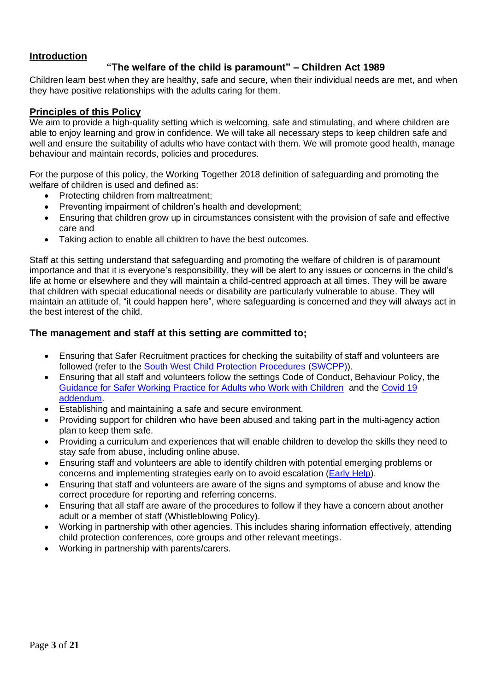#### **Introduction**

## **"The welfare of the child is paramount" – Children Act 1989**

Children learn best when they are healthy, safe and secure, when their individual needs are met, and when they have positive relationships with the adults caring for them.

#### **Principles of this Policy**

We aim to provide a high-quality setting which is welcoming, safe and stimulating, and where children are able to enjoy learning and grow in confidence. We will take all necessary steps to keep children safe and well and ensure the suitability of adults who have contact with them. We will promote good health, manage behaviour and maintain records, policies and procedures.

For the purpose of this policy, the Working Together 2018 definition of safeguarding and promoting the welfare of children is used and defined as:

- Protecting children from maltreatment;
- Preventing impairment of children's health and development;
- Ensuring that children grow up in circumstances consistent with the provision of safe and effective care and
- Taking action to enable all children to have the best outcomes.

Staff at this setting understand that safeguarding and promoting the welfare of children is of paramount importance and that it is everyone's responsibility, they will be alert to any issues or concerns in the child's life at home or elsewhere and they will maintain a child-centred approach at all times. They will be aware that children with special educational needs or disability are particularly vulnerable to abuse. They will maintain an attitude of, "it could happen here", where safeguarding is concerned and they will always act in the best interest of the child.

#### **The management and staff at this setting are committed to;**

- Ensuring that Safer Recruitment practices for checking the suitability of staff and volunteers are followed (refer to the [South West Child Protection Procedures](https://www.proceduresonline.com/swcpp/swindon/index.html) (SWCPP)).
- Ensuring that all staff and volunteers follow the settings Code of Conduct, Behaviour Policy, the [Guidance for Safer Working Practice](https://saferrecruitmentconsortium.org/) for Adults who Work with Children and the [Covid 19](https://saferrecruitmentconsortium.org/)  [addendum.](https://saferrecruitmentconsortium.org/)
- Establishing and maintaining a safe and secure environment.
- Providing support for children who have been abused and taking part in the multi-agency action plan to keep them safe.
- Providing a curriculum and experiences that will enable children to develop the skills they need to stay safe from abuse, including online abuse.
- Ensuring staff and volunteers are able to identify children with potential emerging problems or concerns and implementing strategies early on to avoid escalation [\(Early Help\)](https://localoffer.swindon.gov.uk/content/send-local-offer/landing-pages/early-help-landing-and-content-pages/early-help/).
- Ensuring that staff and volunteers are aware of the signs and symptoms of abuse and know the correct procedure for reporting and referring concerns.
- Ensuring that all staff are aware of the procedures to follow if they have a concern about another adult or a member of staff (Whistleblowing Policy).
- Working in partnership with other agencies. This includes sharing information effectively, attending child protection conferences, core groups and other relevant meetings.
- Working in partnership with parents/carers.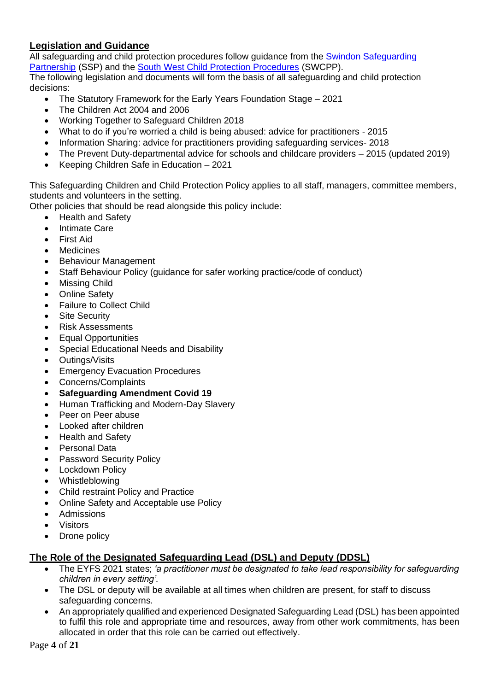# **Legislation and Guidance**

All safeguarding and child protection procedures follow guidance from the Swindon Safeguarding [Partnership](https://safeguardingpartnership.swindon.gov.uk/) (SSP) and the [South West Child Protection Procedures](https://www.proceduresonline.com/swcpp/swindon/index.html) (SWCPP).

The following legislation and documents will form the basis of all safeguarding and child protection decisions:

- The Statutory Framework for the Early Years Foundation Stage 2021
- The Children Act 2004 and 2006
- Working Together to Safeguard Children 2018
- What to do if you're worried a child is being abused: advice for practitioners 2015
- Information Sharing: advice for practitioners providing safeguarding services- 2018
- The Prevent Duty-departmental advice for schools and childcare providers 2015 (updated 2019)
- Keeping Children Safe in Education 2021

This Safeguarding Children and Child Protection Policy applies to all staff, managers, committee members, students and volunteers in the setting.

Other policies that should be read alongside this policy include:

- Health and Safety
- Intimate Care
- First Aid
- **Medicines**
- Behaviour Management
- Staff Behaviour Policy (guidance for safer working practice/code of conduct)
- Missing Child
- **Online Safety**
- Failure to Collect Child
- Site Security
- Risk Assessments
- Equal Opportunities
- Special Educational Needs and Disability
- Outings/Visits
- Emergency Evacuation Procedures
- Concerns/Complaints
- **Safeguarding Amendment Covid 19**
- Human Trafficking and Modern-Day Slavery
- Peer on Peer abuse
- Looked after children
- Health and Safety
- Personal Data
- **Password Security Policy**
- **Lockdown Policy**
- Whistleblowing
- Child restraint Policy and Practice
- Online Safety and Acceptable use Policy
- Admissions
- **Visitors**
- Drone policy

# **The Role of the Designated Safeguarding Lead (DSL) and Deputy (DDSL)**

- The EYFS 2021 states; *'a practitioner must be designated to take lead responsibility for safeguarding children in every setting'.*
- The DSL or deputy will be available at all times when children are present, for staff to discuss safeguarding concerns.
- An appropriately qualified and experienced Designated Safeguarding Lead (DSL) has been appointed to fulfil this role and appropriate time and resources, away from other work commitments, has been allocated in order that this role can be carried out effectively.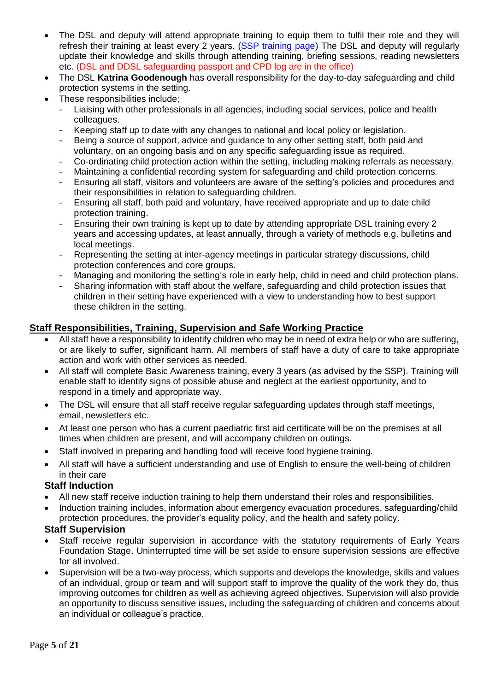- The DSL and deputy will attend appropriate training to equip them to fulfil their role and they will refresh their training at least every 2 years. [\(SSP training page\)](https://safeguardingpartnership.swindon.gov.uk/info/4/training/11/training) The DSL and deputy will regularly update their knowledge and skills through attending training, briefing sessions, reading newsletters etc. (DSL and DDSL safeguarding passport and CPD log are in the office)
- The DSL **Katrina Goodenough** has overall responsibility for the day-to-day safeguarding and child protection systems in the setting.
- These responsibilities include:
	- Liaising with other professionals in all agencies, including social services, police and health colleagues.
	- Keeping staff up to date with any changes to national and local policy or legislation.
	- Being a source of support, advice and guidance to any other setting staff, both paid and voluntary, on an ongoing basis and on any specific safeguarding issue as required.
	- Co-ordinating child protection action within the setting, including making referrals as necessary.
	- Maintaining a confidential recording system for safeguarding and child protection concerns.
	- Ensuring all staff, visitors and volunteers are aware of the setting's policies and procedures and their responsibilities in relation to safeguarding children.
	- Ensuring all staff, both paid and voluntary, have received appropriate and up to date child protection training.
	- Ensuring their own training is kept up to date by attending appropriate DSL training every 2 years and accessing updates, at least annually, through a variety of methods e.g. bulletins and local meetings.
	- Representing the setting at inter-agency meetings in particular strategy discussions, child protection conferences and core groups.
	- Managing and monitoring the setting's role in early help, child in need and child protection plans.
	- Sharing information with staff about the welfare, safeguarding and child protection issues that children in their setting have experienced with a view to understanding how to best support these children in the setting.

#### **Staff Responsibilities, Training, Supervision and Safe Working Practice**

- All staff have a responsibility to identify children who may be in need of extra help or who are suffering, or are likely to suffer, significant harm. All members of staff have a duty of care to take appropriate action and work with other services as needed.
- All staff will complete Basic Awareness training, every 3 years (as advised by the SSP). Training will enable staff to identify signs of possible abuse and neglect at the earliest opportunity, and to respond in a timely and appropriate way.
- The DSL will ensure that all staff receive regular safeguarding updates through staff meetings, email, newsletters etc.
- At least one person who has a current paediatric first aid certificate will be on the premises at all times when children are present, and will accompany children on outings.
- Staff involved in preparing and handling food will receive food hygiene training.
- All staff will have a sufficient understanding and use of English to ensure the well-being of children in their care

#### **Staff Induction**

- All new staff receive induction training to help them understand their roles and responsibilities.
- Induction training includes, information about emergency evacuation procedures, safeguarding/child protection procedures, the provider's equality policy, and the health and safety policy.

#### **Staff Supervision**

- Staff receive regular supervision in accordance with the statutory reguirements of Early Years Foundation Stage. Uninterrupted time will be set aside to ensure supervision sessions are effective for all involved.
- Supervision will be a two-way process, which supports and develops the knowledge, skills and values of an individual, group or team and will support staff to improve the quality of the work they do, thus improving outcomes for children as well as achieving agreed objectives. Supervision will also provide an opportunity to discuss sensitive issues, including the safeguarding of children and concerns about an individual or colleague's practice.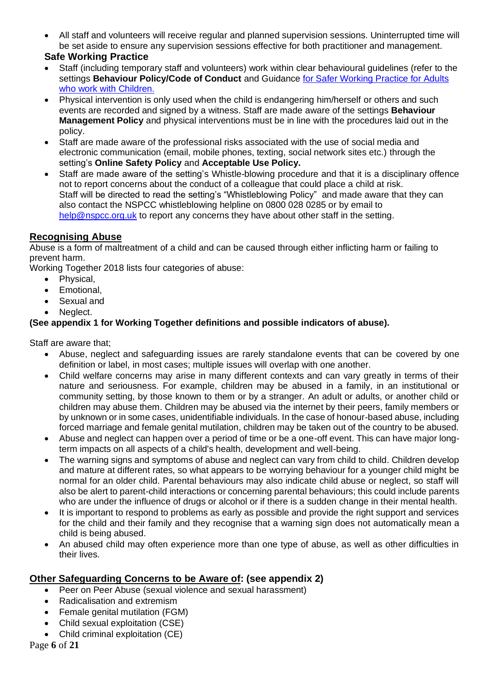• All staff and volunteers will receive regular and planned supervision sessions. Uninterrupted time will be set aside to ensure any supervision sessions effective for both practitioner and management.

## **Safe Working Practice**

- Staff (including temporary staff and volunteers) work within clear behavioural guidelines (refer to the settings **Behaviour Policy/Code of Conduct** and Guidance [for Safer Working Practice for Adults](https://saferrecruitmentconsortium.org/)  [who work with Children.](https://saferrecruitmentconsortium.org/)
- Physical intervention is only used when the child is endangering him/herself or others and such events are recorded and signed by a witness. Staff are made aware of the settings **Behaviour Management Policy** and physical interventions must be in line with the procedures laid out in the policy.
- Staff are made aware of the professional risks associated with the use of social media and electronic communication (email, mobile phones, texting, social network sites etc.) through the setting's **Online Safety Policy** and **Acceptable Use Policy.**
- Staff are made aware of the setting's Whistle-blowing procedure and that it is a disciplinary offence not to report concerns about the conduct of a colleague that could place a child at risk. Staff will be directed to read the setting's "Whistleblowing Policy" and made aware that they can also contact the NSPCC whistleblowing helpline on 0800 028 0285 or by email to [help@nspcc.org.uk](mailto:help@nspcc.org.uk) to report any concerns they have about other staff in the setting.

# **Recognising Abuse**

Abuse is a form of maltreatment of a child and can be caused through either inflicting harm or failing to prevent harm.

Working Together 2018 lists four categories of abuse:

- Physical,
- Emotional,
- Sexual and
- Neglect.

#### **(See appendix 1 for Working Together definitions and possible indicators of abuse).**

Staff are aware that;

- Abuse, neglect and safeguarding issues are rarely standalone events that can be covered by one definition or label, in most cases; multiple issues will overlap with one another.
- Child welfare concerns may arise in many different contexts and can vary greatly in terms of their nature and seriousness. For example, children may be abused in a family, in an institutional or community setting, by those known to them or by a stranger. An adult or adults, or another child or children may abuse them. Children may be abused via the internet by their peers, family members or by unknown or in some cases, unidentifiable individuals. In the case of honour-based abuse, including forced marriage and female genital mutilation, children may be taken out of the country to be abused.
- Abuse and neglect can happen over a period of time or be a one-off event. This can have major longterm impacts on all aspects of a child's health, development and well-being.
- The warning signs and symptoms of abuse and neglect can vary from child to child. Children develop and mature at different rates, so what appears to be worrying behaviour for a younger child might be normal for an older child. Parental behaviours may also indicate child abuse or neglect, so staff will also be alert to parent-child interactions or concerning parental behaviours; this could include parents who are under the influence of drugs or alcohol or if there is a sudden change in their mental health.
- It is important to respond to problems as early as possible and provide the right support and services for the child and their family and they recognise that a warning sign does not automatically mean a child is being abused.
- An abused child may often experience more than one type of abuse, as well as other difficulties in their lives.

# **Other Safeguarding Concerns to be Aware of: (see appendix 2)**

- Peer on Peer Abuse (sexual violence and sexual harassment)
- Radicalisation and extremism
- Female genital mutilation (FGM)
- Child sexual exploitation (CSE)
- Child criminal exploitation (CE)

Page **6** of **21**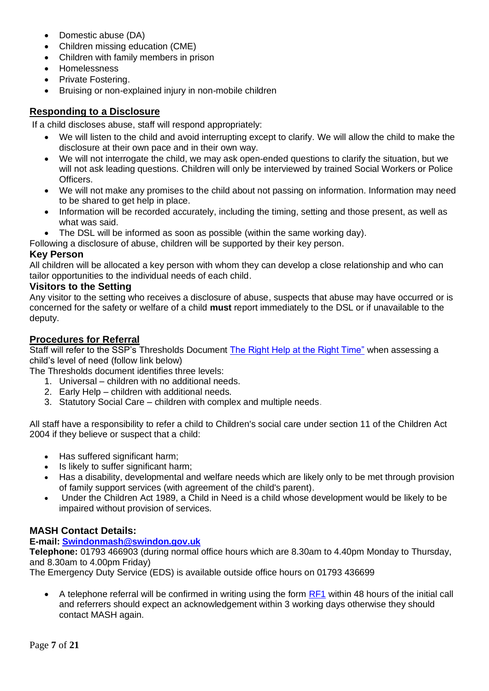- Domestic abuse (DA)
- Children missing education (CME)
- Children with family members in prison
- Homelessness
- Private Fostering.
- Bruising or non-explained injury in non-mobile children

#### **Responding to a Disclosure**

If a child discloses abuse, staff will respond appropriately:

- We will listen to the child and avoid interrupting except to clarify. We will allow the child to make the disclosure at their own pace and in their own way.
- We will not interrogate the child, we may ask open-ended questions to clarify the situation, but we will not ask leading questions. Children will only be interviewed by trained Social Workers or Police Officers.
- We will not make any promises to the child about not passing on information. Information may need to be shared to get help in place.
- Information will be recorded accurately, including the timing, setting and those present, as well as what was said.
- The DSL will be informed as soon as possible (within the same working day).

Following a disclosure of abuse, children will be supported by their key person.

#### **Key Person**

All children will be allocated a key person with whom they can develop a close relationship and who can tailor opportunities to the individual needs of each child.

#### **Visitors to the Setting**

Any visitor to the setting who receives a disclosure of abuse, suspects that abuse may have occurred or is concerned for the safety or welfare of a child **must** report immediately to the DSL or if unavailable to the deputy.

#### **Procedures for Referral**

Staff will refer to the SSP's Thresholds Document [The Right Help at the Right Time"](https://safeguardingpartnership.swindon.gov.uk/info/3/workers_and_volunteers/10/workers_and_volunteers/19) when assessing a child's level of need (follow link below)

The Thresholds document identifies three levels:

- 1. Universal children with no additional needs.
- 2. Early Help children with additional needs.
- 3. Statutory Social Care children with complex and multiple needs.

All staff have a responsibility to refer a child to Children's social care under section 11 of the Children Act 2004 if they believe or suspect that a child:

- Has suffered significant harm;
- Is likely to suffer significant harm:
- Has a disability, developmental and welfare needs which are likely only to be met through provision of family support services (with agreement of the child's parent).
- Under the Children Act 1989, a Child in Need is a child whose development would be likely to be impaired without provision of services.

#### **MASH Contact Details:**

#### **E-mail: [Swindonmash@swindon.gov.uk](mailto:to%20Swindonmash@swindon.gov.uk)**

**Telephone:** 01793 466903 (during normal office hours which are 8.30am to 4.40pm Monday to Thursday, and 8.30am to 4.00pm Friday)

The Emergency Duty Service (EDS) is available outside office hours on 01793 436699

A telephone referral will be confirmed in writing using the form [RF1](https://safeguardingpartnership.swindon.gov.uk/site_search/results/?q=RF1) within 48 hours of the initial call and referrers should expect an acknowledgement within 3 working days otherwise they should contact MASH again.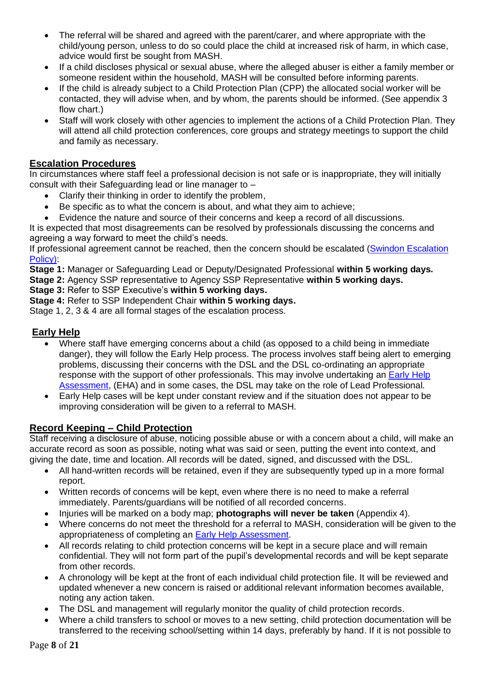- The referral will be shared and agreed with the parent/carer, and where appropriate with the child/young person, unless to do so could place the child at increased risk of harm, in which case, advice would first be sought from MASH.
- If a child discloses physical or sexual abuse, where the alleged abuser is either a family member or someone resident within the household, MASH will be consulted before informing parents.
- If the child is already subject to a Child Protection Plan (CPP) the allocated social worker will be contacted, they will advise when, and by whom, the parents should be informed. (See appendix 3 flow chart.)
- Staff will work closely with other agencies to implement the actions of a Child Protection Plan. They will attend all child protection conferences, core groups and strategy meetings to support the child and family as necessary.

#### **Escalation Procedures**

In circumstances where staff feel a professional decision is not safe or is inappropriate, they will initially consult with their Safeguarding lead or line manager to –

- Clarify their thinking in order to identify the problem,
- Be specific as to what the concern is about, and what they aim to achieve;
- Evidence the nature and source of their concerns and keep a record of all discussions.

It is expected that most disagreements can be resolved by professionals discussing the concerns and agreeing a way forward to meet the child's needs.

If professional agreement cannot be reached, then the concern should be escalated [\(Swindon Escalation](https://safeguardingpartnership.swindon.gov.uk/downloads/download/38/escalation_policy)  [Policy\):](https://safeguardingpartnership.swindon.gov.uk/downloads/download/38/escalation_policy)

**Stage 1:** Manager or Safeguarding Lead or Deputy/Designated Professional **within 5 working days.** 

**Stage 2:** Agency SSP representative to Agency SSP Representative **within 5 working days.** 

**Stage 3:** Refer to SSP Executive's **within 5 working days.** 

**Stage 4:** Refer to SSP Independent Chair **within 5 working days.**

Stage 1, 2, 3 & 4 are all formal stages of the escalation process.

#### **Early Help**

- Where staff have emerging concerns about a child (as opposed to a child being in immediate danger), they will follow the Early Help process. The process involves staff being alert to emerging problems, discussing their concerns with the DSL and the DSL co-ordinating an appropriate response with the support of other professionals. This may involve undertaking an Early Help [Assessment,](https://localoffer.swindon.gov.uk/content/send-local-offer/landing-pages/early-help-landing-and-content-pages/early-help/) (EHA) and in some cases, the DSL may take on the role of Lead Professional.
- Early Help cases will be kept under constant review and if the situation does not appear to be improving consideration will be given to a referral to MASH.

# **Record Keeping – Child Protection**

Staff receiving a disclosure of abuse, noticing possible abuse or with a concern about a child, will make an accurate record as soon as possible, noting what was said or seen, putting the event into context, and giving the date, time and location. All records will be dated, signed, and discussed with the DSL.

- All hand-written records will be retained, even if they are subsequently typed up in a more formal report.
- Written records of concerns will be kept, even where there is no need to make a referral immediately. Parents/guardians will be notified of all recorded concerns.
- Injuries will be marked on a body map; **photographs will never be taken** (Appendix 4).
- Where concerns do not meet the threshold for a referral to MASH, consideration will be given to the appropriateness of completing an [Early Help Assessment.](https://localoffer.swindon.gov.uk/content/send-local-offer/landing-pages/early-help-landing-and-content-pages/early-help/)
- All records relating to child protection concerns will be kept in a secure place and will remain confidential. They will not form part of the pupil's developmental records and will be kept separate from other records.
- A chronology will be kept at the front of each individual child protection file. It will be reviewed and updated whenever a new concern is raised or additional relevant information becomes available, noting any action taken.
- The DSL and management will regularly monitor the quality of child protection records.
- Where a child transfers to school or moves to a new setting, child protection documentation will be transferred to the receiving school/setting within 14 days, preferably by hand. If it is not possible to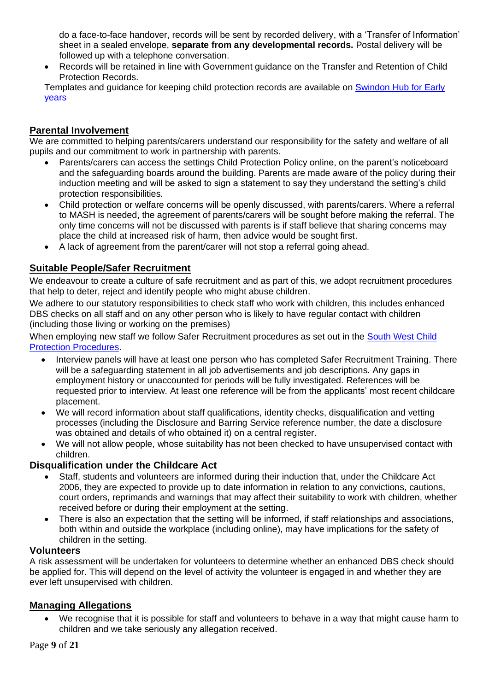do a face-to-face handover, records will be sent by recorded delivery, with a 'Transfer of Information' sheet in a sealed envelope, **separate from any developmental records.** Postal delivery will be followed up with a telephone conversation.

• Records will be retained in line with Government guidance on the Transfer and Retention of Child Protection Records.

Templates and guidance for keeping child protection records are available on [Swindon Hub for Early](https://hubforearlyyears.swindon.gov.uk/Page/20350)  [years](https://hubforearlyyears.swindon.gov.uk/Page/20350)

## **Parental Involvement**

We are committed to helping parents/carers understand our responsibility for the safety and welfare of all pupils and our commitment to work in partnership with parents.

- Parents/carers can access the settings Child Protection Policy online, on the parent's noticeboard and the safeguarding boards around the building. Parents are made aware of the policy during their induction meeting and will be asked to sign a statement to say they understand the setting's child protection responsibilities.
- Child protection or welfare concerns will be openly discussed, with parents/carers. Where a referral to MASH is needed, the agreement of parents/carers will be sought before making the referral. The only time concerns will not be discussed with parents is if staff believe that sharing concerns may place the child at increased risk of harm, then advice would be sought first.
- A lack of agreement from the parent/carer will not stop a referral going ahead.

## **Suitable People/Safer Recruitment**

We endeavour to create a culture of safe recruitment and as part of this, we adopt recruitment procedures that help to deter, reject and identify people who might abuse children.

We adhere to our statutory responsibilities to check staff who work with children, this includes enhanced DBS checks on all staff and on any other person who is likely to have regular contact with children (including those living or working on the premises)

When employing new staff we follow Safer Recruitment procedures as set out in the South West Child [Protection Procedures.](https://www.proceduresonline.com/swcpp/swindon/index.html)

- Interview panels will have at least one person who has completed Safer Recruitment Training. There will be a safeguarding statement in all job advertisements and job descriptions. Any gaps in employment history or unaccounted for periods will be fully investigated. References will be requested prior to interview. At least one reference will be from the applicants' most recent childcare placement.
- We will record information about staff qualifications, identity checks, disqualification and vetting processes (including the Disclosure and Barring Service reference number, the date a disclosure was obtained and details of who obtained it) on a central register.
- We will not allow people, whose suitability has not been checked to have unsupervised contact with children.

#### **Disqualification under the Childcare Act**

- Staff, students and volunteers are informed during their induction that, under the Childcare Act 2006, they are expected to provide up to date information in relation to any convictions, cautions, court orders, reprimands and warnings that may affect their suitability to work with children, whether received before or during their employment at the setting.
- There is also an expectation that the setting will be informed, if staff relationships and associations, both within and outside the workplace (including online), may have implications for the safety of children in the setting.

#### **Volunteers**

A risk assessment will be undertaken for volunteers to determine whether an enhanced DBS check should be applied for. This will depend on the level of activity the volunteer is engaged in and whether they are ever left unsupervised with children.

#### **Managing Allegations**

• We recognise that it is possible for staff and volunteers to behave in a way that might cause harm to children and we take seriously any allegation received.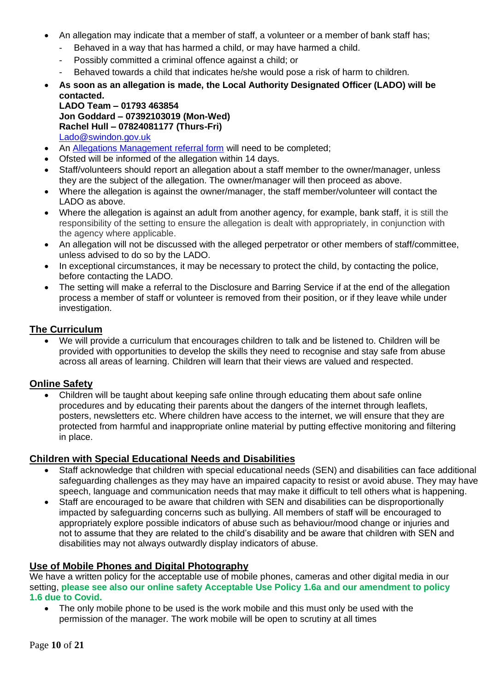- An allegation may indicate that a member of staff, a volunteer or a member of bank staff has;
	- Behaved in a way that has harmed a child, or may have harmed a child.
	- Possibly committed a criminal offence against a child; or
	- Behaved towards a child that indicates he/she would pose a risk of harm to children.
- **As soon as an allegation is made, the Local Authority Designated Officer (LADO) will be contacted.**

**LADO Team – 01793 463854 Jon Goddard – 07392103019 (Mon-Wed) Rachel Hull – 07824081177 (Thurs-Fri)** [Lado@swindon.gov.uk](mailto:Lado@swindon.gov.uk)

- An **Allegations Management referral form** will need to be completed;
- Ofsted will be informed of the allegation within 14 days.
- Staff/volunteers should report an allegation about a staff member to the owner/manager, unless they are the subject of the allegation. The owner/manager will then proceed as above.
- Where the allegation is against the owner/manager, the staff member/volunteer will contact the LADO as above.
- Where the allegation is against an adult from another agency, for example, bank staff, it is still the responsibility of the setting to ensure the allegation is dealt with appropriately, in conjunction with the agency where applicable.
- An allegation will not be discussed with the alleged perpetrator or other members of staff/committee, unless advised to do so by the LADO.
- In exceptional circumstances, it may be necessary to protect the child, by contacting the police, before contacting the LADO.
- The setting will make a referral to the Disclosure and Barring Service if at the end of the allegation process a member of staff or volunteer is removed from their position, or if they leave while under investigation.

## **The Curriculum**

• We will provide a curriculum that encourages children to talk and be listened to. Children will be provided with opportunities to develop the skills they need to recognise and stay safe from abuse across all areas of learning. Children will learn that their views are valued and respected.

#### **Online Safety**

• Children will be taught about keeping safe online through educating them about safe online procedures and by educating their parents about the dangers of the internet through leaflets, posters, newsletters etc. Where children have access to the internet, we will ensure that they are protected from harmful and inappropriate online material by putting effective monitoring and filtering in place.

#### **Children with Special Educational Needs and Disabilities**

- Staff acknowledge that children with special educational needs (SEN) and disabilities can face additional safeguarding challenges as they may have an impaired capacity to resist or avoid abuse. They may have speech, language and communication needs that may make it difficult to tell others what is happening.
- Staff are encouraged to be aware that children with SEN and disabilities can be disproportionally impacted by safeguarding concerns such as bullying. All members of staff will be encouraged to appropriately explore possible indicators of abuse such as behaviour/mood change or injuries and not to assume that they are related to the child's disability and be aware that children with SEN and disabilities may not always outwardly display indicators of abuse.

# **Use of Mobile Phones and Digital Photography**

We have a written policy for the acceptable use of mobile phones, cameras and other digital media in our setting, **please see also our online safety Acceptable Use Policy 1.6a and our amendment to policy 1.6 due to Covid.**

The only mobile phone to be used is the work mobile and this must only be used with the permission of the manager. The work mobile will be open to scrutiny at all times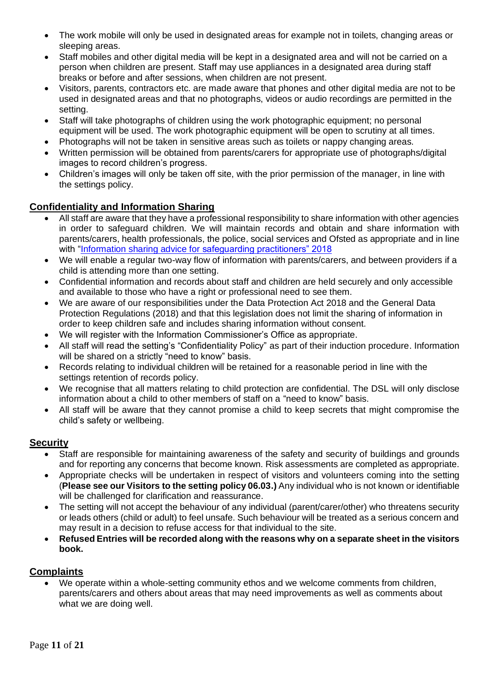- The work mobile will only be used in designated areas for example not in toilets, changing areas or sleeping areas.
- Staff mobiles and other digital media will be kept in a designated area and will not be carried on a person when children are present. Staff may use appliances in a designated area during staff breaks or before and after sessions, when children are not present.
- Visitors, parents, contractors etc. are made aware that phones and other digital media are not to be used in designated areas and that no photographs, videos or audio recordings are permitted in the setting.
- Staff will take photographs of children using the work photographic equipment; no personal equipment will be used. The work photographic equipment will be open to scrutiny at all times.
- Photographs will not be taken in sensitive areas such as toilets or nappy changing areas.
- Written permission will be obtained from parents/carers for appropriate use of photographs/digital images to record children's progress.
- Children's images will only be taken off site, with the prior permission of the manager, in line with the settings policy.

# **Confidentiality and Information Sharing**

- All staff are aware that they have a professional responsibility to share information with other agencies in order to safeguard children. We will maintain records and obtain and share information with parents/carers, health professionals, the police, social services and Ofsted as appropriate and in line with "Information [sharing advice for safeguarding practitioners" 2018](https://assets.publishing.service.gov.uk/government/uploads/system/uploads/attachment_data/file/721581/Information_sharing_advice_practitioners_safeguarding_services.pdf)
- We will enable a regular two-way flow of information with parents/carers, and between providers if a child is attending more than one setting.
- Confidential information and records about staff and children are held securely and only accessible and available to those who have a right or professional need to see them.
- We are aware of our responsibilities under the Data Protection Act 2018 and the General Data Protection Regulations (2018) and that this legislation does not limit the sharing of information in order to keep children safe and includes sharing information without consent.
- We will register with the Information Commissioner's Office as appropriate.
- All staff will read the setting's "Confidentiality Policy" as part of their induction procedure. Information will be shared on a strictly "need to know" basis.
- Records relating to individual children will be retained for a reasonable period in line with the settings retention of records policy.
- We recognise that all matters relating to child protection are confidential. The DSL will only disclose information about a child to other members of staff on a "need to know" basis.
- All staff will be aware that they cannot promise a child to keep secrets that might compromise the child's safety or wellbeing.

#### **Security**

- Staff are responsible for maintaining awareness of the safety and security of buildings and grounds and for reporting any concerns that become known. Risk assessments are completed as appropriate.
- Appropriate checks will be undertaken in respect of visitors and volunteers coming into the setting (**Please see our Visitors to the setting policy 06.03.)** Any individual who is not known or identifiable will be challenged for clarification and reassurance.
- The setting will not accept the behaviour of any individual (parent/carer/other) who threatens security or leads others (child or adult) to feel unsafe. Such behaviour will be treated as a serious concern and may result in a decision to refuse access for that individual to the site.
- **Refused Entries will be recorded along with the reasons why on a separate sheet in the visitors book.**

# **Complaints**

• We operate within a whole-setting community ethos and we welcome comments from children, parents/carers and others about areas that may need improvements as well as comments about what we are doing well.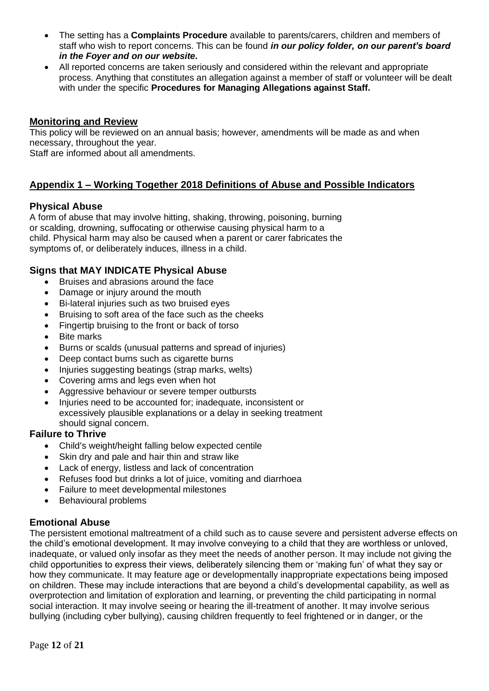- The setting has a **Complaints Procedure** available to parents/carers, children and members of staff who wish to report concerns. This can be found *in our policy folder, on our parent's board in the Foyer and on our website.*
- All reported concerns are taken seriously and considered within the relevant and appropriate process. Anything that constitutes an allegation against a member of staff or volunteer will be dealt with under the specific **Procedures for Managing Allegations against Staff.**

## **Monitoring and Review**

This policy will be reviewed on an annual basis; however, amendments will be made as and when necessary, throughout the year.

Staff are informed about all amendments.

## **Appendix 1 – Working Together 2018 Definitions of Abuse and Possible Indicators**

#### **Physical Abuse**

A form of abuse that may involve hitting, shaking, throwing, poisoning, burning or scalding, drowning, suffocating or otherwise causing physical harm to a child. Physical harm may also be caused when a parent or carer fabricates the symptoms of, or deliberately induces, illness in a child.

#### **Signs that MAY INDICATE Physical Abuse**

- Bruises and abrasions around the face
- Damage or injury around the mouth
- Bi-lateral injuries such as two bruised eyes
- Bruising to soft area of the face such as the cheeks
- Fingertip bruising to the front or back of torso
- Bite marks
- Burns or scalds (unusual patterns and spread of injuries)
- Deep contact burns such as cigarette burns
- Injuries suggesting beatings (strap marks, welts)
- Covering arms and legs even when hot
- Aggressive behaviour or severe temper outbursts
- Injuries need to be accounted for; inadequate, inconsistent or excessively plausible explanations or a delay in seeking treatment should signal concern.

#### **Failure to Thrive**

- Child's weight/height falling below expected centile
- Skin dry and pale and hair thin and straw like
- Lack of energy, listless and lack of concentration
- Refuses food but drinks a lot of juice, vomiting and diarrhoea
- Failure to meet developmental milestones
- Behavioural problems

#### **Emotional Abuse**

The persistent emotional maltreatment of a child such as to cause severe and persistent adverse effects on the child's emotional development. It may involve conveying to a child that they are worthless or unloved, inadequate, or valued only insofar as they meet the needs of another person. It may include not giving the child opportunities to express their views, deliberately silencing them or 'making fun' of what they say or how they communicate. It may feature age or developmentally inappropriate expectations being imposed on children. These may include interactions that are beyond a child's developmental capability, as well as overprotection and limitation of exploration and learning, or preventing the child participating in normal social interaction. It may involve seeing or hearing the ill-treatment of another. It may involve serious bullying (including cyber bullying), causing children frequently to feel frightened or in danger, or the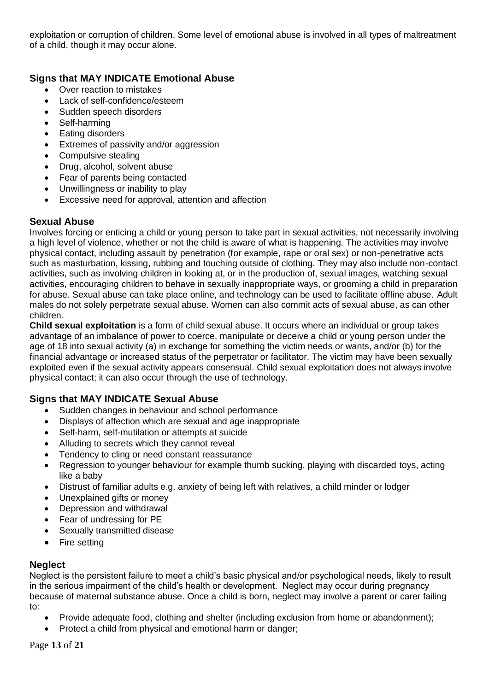exploitation or corruption of children. Some level of emotional abuse is involved in all types of maltreatment of a child, though it may occur alone.

## **Signs that MAY INDICATE Emotional Abuse**

- Over reaction to mistakes
- Lack of self-confidence/esteem
- Sudden speech disorders
- Self-harming
- Eating disorders
- Extremes of passivity and/or aggression
- Compulsive stealing
- Drug, alcohol, solvent abuse
- Fear of parents being contacted
- Unwillingness or inability to play
- Excessive need for approval, attention and affection

## **Sexual Abuse**

Involves forcing or enticing a child or young person to take part in sexual activities, not necessarily involving a high level of violence, whether or not the child is aware of what is happening. The activities may involve physical contact, including assault by penetration (for example, rape or oral sex) or non-penetrative acts such as masturbation, kissing, rubbing and touching outside of clothing. They may also include non-contact activities, such as involving children in looking at, or in the production of, sexual images, watching sexual activities, encouraging children to behave in sexually inappropriate ways, or grooming a child in preparation for abuse. Sexual abuse can take place online, and technology can be used to facilitate offline abuse. Adult males do not solely perpetrate sexual abuse. Women can also commit acts of sexual abuse, as can other children.

**Child sexual exploitation** is a form of child sexual abuse. It occurs where an individual or group takes advantage of an imbalance of power to coerce, manipulate or deceive a child or young person under the age of 18 into sexual activity (a) in exchange for something the victim needs or wants, and/or (b) for the financial advantage or increased status of the perpetrator or facilitator. The victim may have been sexually exploited even if the sexual activity appears consensual. Child sexual exploitation does not always involve physical contact; it can also occur through the use of technology.

# **Signs that MAY INDICATE Sexual Abuse**

- Sudden changes in behaviour and school performance
- Displays of affection which are sexual and age inappropriate
- Self-harm, self-mutilation or attempts at suicide
- Alluding to secrets which they cannot reveal
- Tendency to cling or need constant reassurance
- Regression to younger behaviour for example thumb sucking, playing with discarded toys, acting like a baby
- Distrust of familiar adults e.g. anxiety of being left with relatives, a child minder or lodger
- Unexplained gifts or money
- Depression and withdrawal
- Fear of undressing for PE
- Sexually transmitted disease
- Fire setting

#### **Neglect**

Neglect is the persistent failure to meet a child's basic physical and/or psychological needs, likely to result in the serious impairment of the child's health or development. Neglect may occur during pregnancy because of maternal substance abuse. Once a child is born, neglect may involve a parent or carer failing to:

- Provide adequate food, clothing and shelter (including exclusion from home or abandonment);
- Protect a child from physical and emotional harm or danger;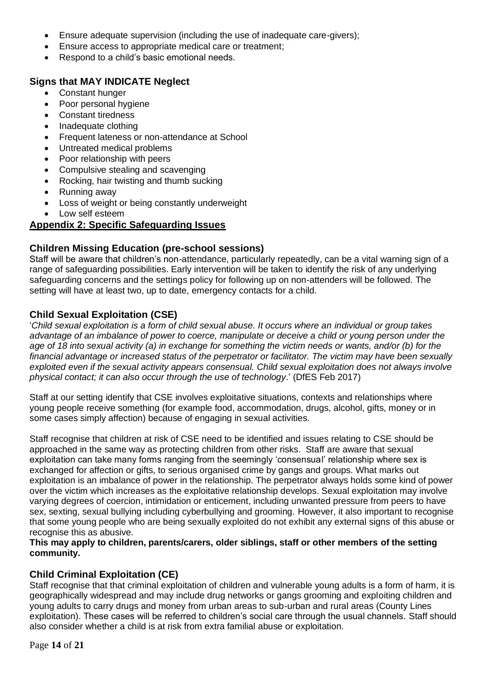- Ensure adequate supervision (including the use of inadequate care-givers);
- Ensure access to appropriate medical care or treatment;
- Respond to a child's basic emotional needs.

# **Signs that MAY INDICATE Neglect**

- Constant hunger
- Poor personal hygiene
- Constant tiredness
- Inadequate clothing
- Frequent lateness or non-attendance at School
- Untreated medical problems
- Poor relationship with peers
- Compulsive stealing and scavenging
- Rocking, hair twisting and thumb sucking
- Running away
- Loss of weight or being constantly underweight
- Low self esteem

# **Appendix 2: Specific Safeguarding Issues**

# **Children Missing Education (pre-school sessions)**

Staff will be aware that children's non-attendance, particularly repeatedly, can be a vital warning sign of a range of safeguarding possibilities. Early intervention will be taken to identify the risk of any underlying safeguarding concerns and the settings policy for following up on non-attenders will be followed. The setting will have at least two, up to date, emergency contacts for a child.

# **Child Sexual Exploitation (CSE)**

'*Child sexual exploitation is a form of child sexual abuse. It occurs where an individual or group takes advantage of an imbalance of power to coerce, manipulate or deceive a child or young person under the age of 18 into sexual activity (a) in exchange for something the victim needs or wants, and/or (b) for the financial advantage or increased status of the perpetrator or facilitator. The victim may have been sexually exploited even if the sexual activity appears consensual. Child sexual exploitation does not always involve physical contact; it can also occur through the use of technology*.' (DfES Feb 2017)

Staff at our setting identify that CSE involves exploitative situations, contexts and relationships where young people receive something (for example food, accommodation, drugs, alcohol, gifts, money or in some cases simply affection) because of engaging in sexual activities.

Staff recognise that children at risk of CSE need to be identified and issues relating to CSE should be approached in the same way as protecting children from other risks. Staff are aware that sexual exploitation can take many forms ranging from the seemingly 'consensual' relationship where sex is exchanged for affection or gifts, to serious organised crime by gangs and groups. What marks out exploitation is an imbalance of power in the relationship. The perpetrator always holds some kind of power over the victim which increases as the exploitative relationship develops. Sexual exploitation may involve varying degrees of coercion, intimidation or enticement, including unwanted pressure from peers to have sex, sexting, sexual bullying including cyberbullying and grooming. However, it also important to recognise that some young people who are being sexually exploited do not exhibit any external signs of this abuse or recognise this as abusive.

**This may apply to children, parents/carers, older siblings, staff or other members of the setting community.**

# **Child Criminal Exploitation (CE)**

Staff recognise that that criminal exploitation of children and vulnerable young adults is a form of harm, it is geographically widespread and may include drug networks or gangs grooming and exploiting children and young adults to carry drugs and money from urban areas to sub-urban and rural areas (County Lines exploitation). These cases will be referred to children's social care through the usual channels. Staff should also consider whether a child is at risk from extra familial abuse or exploitation.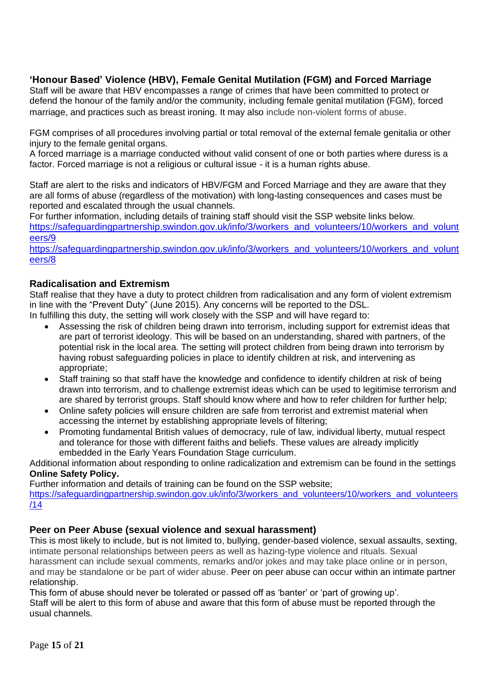# **'Honour Based' Violence (HBV), Female Genital Mutilation (FGM) and Forced Marriage**

Staff will be aware that HBV encompasses a range of crimes that have been committed to protect or defend the honour of the family and/or the community, including female genital mutilation (FGM), forced marriage, and practices such as breast ironing. It may also include non-violent forms of abuse.

FGM comprises of all procedures involving partial or total removal of the external female genitalia or other injury to the female genital organs.

A forced marriage is a marriage conducted without valid consent of one or both parties where duress is a factor. Forced marriage is not a religious or cultural issue - it is a human rights abuse.

Staff are alert to the risks and indicators of HBV/FGM and Forced Marriage and they are aware that they are all forms of abuse (regardless of the motivation) with long-lasting consequences and cases must be reported and escalated through the usual channels.

For further information, including details of training staff should visit the SSP website links below. [https://safeguardingpartnership.swindon.gov.uk/info/3/workers\\_and\\_volunteers/10/workers\\_and\\_volunt](https://safeguardingpartnership.swindon.gov.uk/info/3/workers_and_volunteers/10/workers_and_volunteers/9) [eers/9](https://safeguardingpartnership.swindon.gov.uk/info/3/workers_and_volunteers/10/workers_and_volunteers/9)

[https://safeguardingpartnership.swindon.gov.uk/info/3/workers\\_and\\_volunteers/10/workers\\_and\\_volunt](https://safeguardingpartnership.swindon.gov.uk/info/3/workers_and_volunteers/10/workers_and_volunteers/8) [eers/8](https://safeguardingpartnership.swindon.gov.uk/info/3/workers_and_volunteers/10/workers_and_volunteers/8)

#### **Radicalisation and Extremism**

Staff realise that they have a duty to protect children from radicalisation and any form of violent extremism in line with the "Prevent Duty" (June 2015). Any concerns will be reported to the DSL.

In fulfilling this duty, the setting will work closely with the SSP and will have regard to:

- Assessing the risk of children being drawn into terrorism, including support for extremist ideas that are part of terrorist ideology. This will be based on an understanding, shared with partners, of the potential risk in the local area. The setting will protect children from being drawn into terrorism by having robust safeguarding policies in place to identify children at risk, and intervening as appropriate;
- Staff training so that staff have the knowledge and confidence to identify children at risk of being drawn into terrorism, and to challenge extremist ideas which can be used to legitimise terrorism and are shared by terrorist groups. Staff should know where and how to refer children for further help;
- Online safety policies will ensure children are safe from terrorist and extremist material when accessing the internet by establishing appropriate levels of filtering;
- Promoting fundamental British values of democracy, rule of law, individual liberty, mutual respect and tolerance for those with different faiths and beliefs. These values are already implicitly embedded in the Early Years Foundation Stage curriculum.

Additional information about responding to online radicalization and extremism can be found in the settings **Online Safety Policy.**

Further information and details of training can be found on the SSP website;

[https://safeguardingpartnership.swindon.gov.uk/info/3/workers\\_and\\_volunteers/10/workers\\_and\\_volunteers](https://safeguardingpartnership.swindon.gov.uk/info/3/workers_and_volunteers/10/workers_and_volunteers/14) [/14](https://safeguardingpartnership.swindon.gov.uk/info/3/workers_and_volunteers/10/workers_and_volunteers/14)

#### **Peer on Peer Abuse (sexual violence and sexual harassment)**

This is most likely to include, but is not limited to, bullying, gender-based violence, sexual assaults, sexting, intimate personal relationships between peers as well as hazing-type violence and rituals. Sexual harassment can include sexual comments, remarks and/or jokes and may take place online or in person, and may be standalone or be part of wider abuse. Peer on peer abuse can occur within an intimate partner relationship.

This form of abuse should never be tolerated or passed off as 'banter' or 'part of growing up'. Staff will be alert to this form of abuse and aware that this form of abuse must be reported through the usual channels.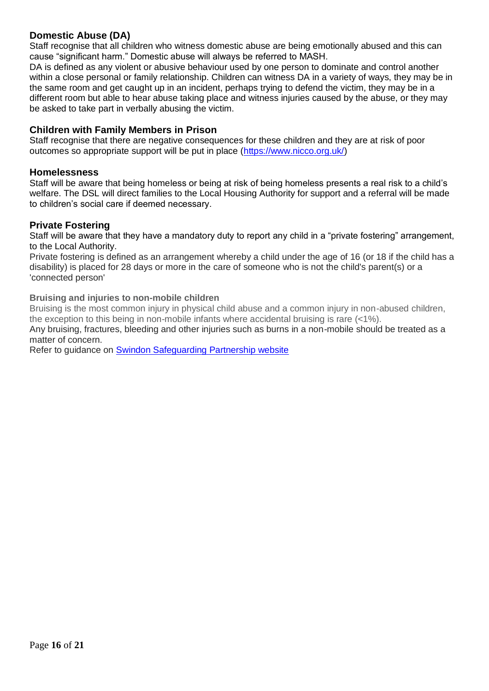#### **Domestic Abuse (DA)**

Staff recognise that all children who witness domestic abuse are being emotionally abused and this can cause "significant harm." Domestic abuse will always be referred to MASH.

DA is defined as any violent or abusive behaviour used by one person to dominate and control another within a close personal or family relationship. Children can witness DA in a variety of ways, they may be in the same room and get caught up in an incident, perhaps trying to defend the victim, they may be in a different room but able to hear abuse taking place and witness injuries caused by the abuse, or they may be asked to take part in verbally abusing the victim.

#### **Children with Family Members in Prison**

Staff recognise that there are negative consequences for these children and they are at risk of poor outcomes so appropriate support will be put in place [\(https://www.nicco.org.uk/\)](https://www.nicco.org.uk/)

#### **Homelessness**

Staff will be aware that being homeless or being at risk of being homeless presents a real risk to a child's welfare. The DSL will direct families to the Local Housing Authority for support and a referral will be made to children's social care if deemed necessary.

#### **Private Fostering**

Staff will be aware that they have a mandatory duty to report any child in a "private fostering" arrangement, to the Local Authority.

Private fostering is defined as an arrangement whereby a child under the age of 16 (or 18 if the child has a disability) is placed for 28 days or more in the care of someone who is not the child's parent(s) or a 'connected person'

#### **Bruising and injuries to non-mobile children**

Bruising is the most common injury in physical child abuse and a common injury in non-abused children, the exception to this being in non-mobile infants where accidental bruising is rare (<1%).

Any bruising, fractures, bleeding and other injuries such as burns in a non-mobile should be treated as a matter of concern.

Refer to guidance on [Swindon Safeguarding Partnership website](https://safeguardingpartnership.swindon.gov.uk/site_search/results/?q=Bruising+and+injuries+to+non-mobile+chil)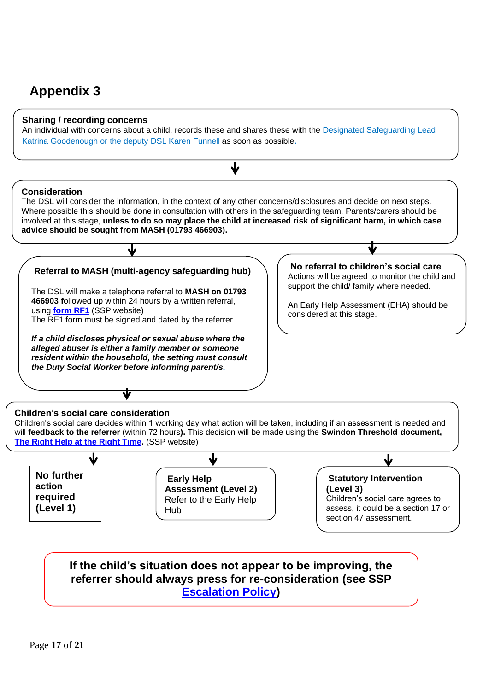# **Appendix 3**

#### **Sharing / recording concerns**

An individual with concerns about a child, records these and shares these with the Designated Safeguarding Lead Katrina Goodenough or the deputy DSL Karen Funnell as soon as possible.



**[Escalation Policy\)](https://safeguardingpartnership.swindon.gov.uk/downloads/download/38/escalation_policy)**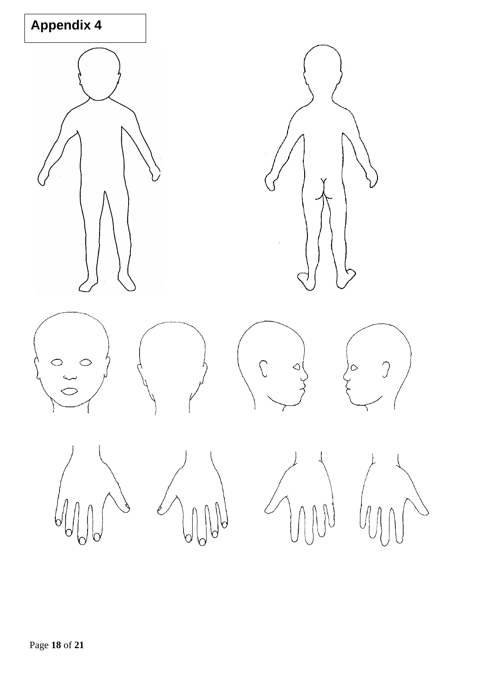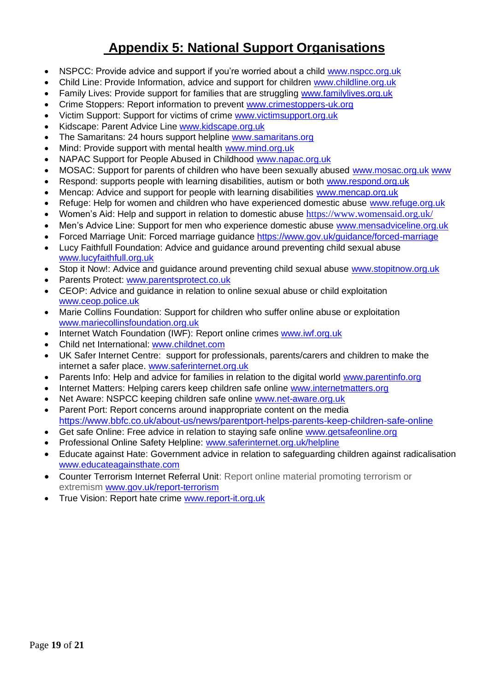# **Appendix 5: National Support Organisations**

- NSPCC: Provide advice and support if you're worried about a child [www.nspcc.org.uk](http://www.nspcc.org.uk/)
- Child Line: Provide Information, advice and support for children [www.childline.org.uk](http://www.childline.org.uk/)
- Family Lives: Provide support for families that are struggling [www.familylives.org.uk](http://www.familylives.org.uk/)
- Crime Stoppers: Report information to prevent [www.crimestoppers-uk.org](http://www.crimestoppers-uk.org/)
- Victim Support: Support for victims of crime [www.victimsupport.org.uk](http://www.victimsupport.org.uk/)
- Kidscape: Parent Advice Line [www.kidscape.org.uk](http://www.kidscape.org.uk/)
- The Samaritans: 24 hours support helpline [www.samaritans.org](http://www.samaritans.org/)
- Mind: Provide support with mental health [www.mind.org.uk](http://www.mind.org.uk/)
- NAPAC Support for People Abused in Childhood [www.napac.org.uk](http://www.napac.org.uk/)
- MOSAC: Support for parents of children who have been sexually abused [www.mosac.org.uk](http://www.mosac.org.uk/) www
- Respond: supports people with learning disabilities, autism or both [www.respond.org.uk](http://www.respond.org.uk/)
- Mencap: Advice and support for people with learning disabilities [www.mencap.org.uk](http://www.mencap.org.uk/)
- Refuge: Help for women and children who have experienced domestic abuse [www.refuge.org.uk](http://www.refuge.org.uk/)
- Women's Aid: Help and support in relation to domestic abuse <https://www.womensaid.org.uk/>
- Men's Advice Line: Support for men who experience domestic abuse [www.mensadviceline.org.uk](http://www.mensadviceline.org.uk/)
- Forced Marriage Unit: Forced marriage guidance <https://www.gov.uk/guidance/forced-marriage>
- Lucy Faithfull Foundation: Advice and guidance around preventing child sexual abuse [www.lucyfaithfull.org.uk](http://www.lucyfaithfull.org.uk/)
- Stop it Now!: Advice and quidance around preventing child sexual abuse [www.stopitnow.org.uk](http://www.stopitnow.org.uk/)
- Parents Protect: [www.parentsprotect.co.uk](http://www.parentsprotect.co.uk/)
- CEOP: Advice and guidance in relation to online sexual abuse or child exploitation [www.ceop.police.uk](http://www.ceop.police.uk/)
- Marie Collins Foundation: Support for children who suffer online abuse or exploitation [www.mariecollinsfoundation.org.uk](http://www.mariecollinsfoundation.org.uk/)
- Internet Watch Foundation (IWF): Report online crimes [www.iwf.org.uk](http://www.iwf.org.uk/)
- Child net International: [www.childnet.com](http://www.childnet.com/)
- UK Safer Internet Centre: support for professionals, parents/carers and children to make the internet a safer place. [www.saferinternet.org.uk](http://www.saferinternet.org.uk/)
- Parents Info: Help and advice for families in relation to the digital world [www.parentinfo.org](http://www.parentinfo.org/)
- Internet Matters: Helping carers keep children safe online [www.internetmatters.org](http://www.internetmatters.org/)
- Net Aware: NSPCC keeping children safe online [www.net-aware.org.uk](http://www.net-aware.org.uk/)
- Parent Port: Report concerns around inappropriate content on the media <https://www.bbfc.co.uk/about-us/news/parentport-helps-parents-keep-children-safe-online>
- Get safe Online: Free advice in relation to staying safe online [www.getsafeonline.org](https://www.getsafeonline.org/)
- Professional Online Safety Helpline: [www.saferinternet.org.uk/helpline](http://www.saferinternet.org.uk/helpline)
- Educate against Hate: Government advice in relation to safeguarding children against radicalisation [www.educateagainsthate.com](http://www.educateagainsthate.com/)
- Counter Terrorism Internet Referral Unit: Report online material promoting terrorism or extremism [www.gov.uk/report-terrorism](http://www.gov.uk/report-terrorism)
- True Vision: Report hate crime [www.report-it.org.uk](http://www.report-it.org.uk/)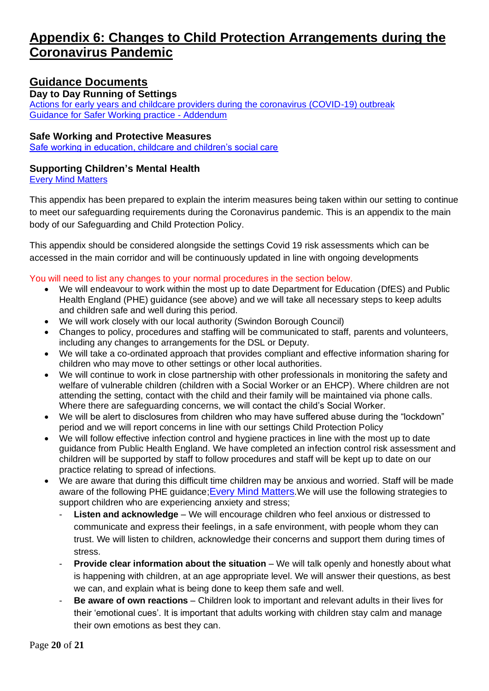# **Appendix 6: Changes to Child Protection Arrangements during the Coronavirus Pandemic**

# **Guidance Documents**

#### **Day to Day Running of Settings**

[Actions for early years and childcare providers during the coronavirus \(COVID-19\) outbreak](https://www.gov.uk/government/publications/coronavirus-covid-19-early-years-and-childcare-closures) [Guidance for Safer Working practice -](https://c-cluster-110.uploads.documents.cimpress.io/v1/uploads/d2a90ef0-f98b-4fbb-a65c-9371d3706b04~110/original?tenant=vbu-digital) Addendum

#### **Safe Working and Protective Measures**

[Safe working in education, childcare and children's social care](https://www.gov.uk/government/publications/safe-working-in-education-childcare-and-childrens-social-care)

## **Supporting Children's Mental Health**

[Every Mind Matters](https://www.nhs.uk/every-mind-matters/)

This appendix has been prepared to explain the interim measures being taken within our setting to continue to meet our safeguarding requirements during the Coronavirus pandemic. This is an appendix to the main body of our Safeguarding and Child Protection Policy.

This appendix should be considered alongside the settings Covid 19 risk assessments which can be accessed in the main corridor and will be continuously updated in line with ongoing developments

You will need to list any changes to your normal procedures in the section below.

- We will endeavour to work within the most up to date Department for Education (DfES) and Public Health England (PHE) guidance (see above) and we will take all necessary steps to keep adults and children safe and well during this period.
- We will work closely with our local authority (Swindon Borough Council)
- Changes to policy, procedures and staffing will be communicated to staff, parents and volunteers, including any changes to arrangements for the DSL or Deputy.
- We will take a co-ordinated approach that provides compliant and effective information sharing for children who may move to other settings or other local authorities.
- We will continue to work in close partnership with other professionals in monitoring the safety and welfare of vulnerable children (children with a Social Worker or an EHCP). Where children are not attending the setting, contact with the child and their family will be maintained via phone calls. Where there are safeguarding concerns, we will contact the child's Social Worker.
- We will be alert to disclosures from children who may have suffered abuse during the "lockdown" period and we will report concerns in line with our settings Child Protection Policy
- We will follow effective infection control and hygiene practices in line with the most up to date guidance from Public Health England. We have completed an infection control risk assessment and children will be supported by staff to follow procedures and staff will be kept up to date on our practice relating to spread of infections.
- We are aware that during this difficult time children may be anxious and worried. Staff will be made aware of the following PHE guidance; [Every Mind Matters](https://www.nhs.uk/every-mind-matters/). We will use the following strategies to support children who are experiencing anxiety and stress;
	- **Listen and acknowledge** We will encourage children who feel anxious or distressed to communicate and express their feelings, in a safe environment, with people whom they can trust. We will listen to children, acknowledge their concerns and support them during times of stress.
	- **Provide clear information about the situation** We will talk openly and honestly about what is happening with children, at an age appropriate level. We will answer their questions, as best we can, and explain what is being done to keep them safe and well.
	- **Be aware of own reactions**  Children look to important and relevant adults in their lives for their 'emotional cues'. It is important that adults working with children stay calm and manage their own emotions as best they can.